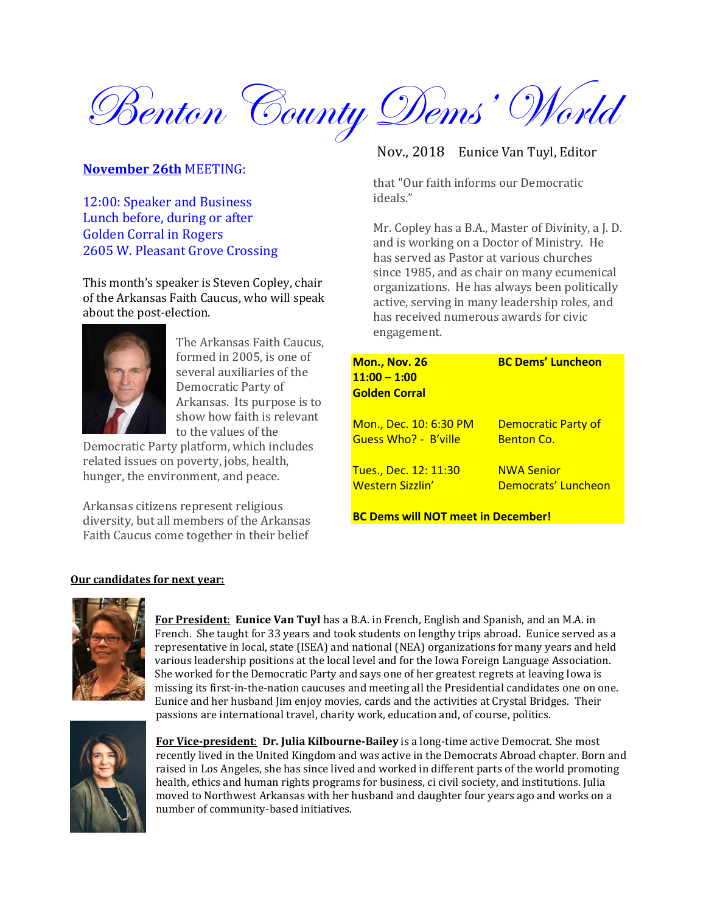

## **November 26th** MEETING:

12:00: Speaker and Business Lunch before, during or after Golden Corral in Rogers 2605 W. Pleasant Grove Crossing

This month's speaker is Steven Copley, chair of the Arkansas Faith Caucus, who will speak about the post-election.



The Arkansas Faith Caucus, formed in 2005, is one of several auxiliaries of the Democratic Party of Arkansas. Its purpose is to show how faith is relevant to the values of the

Democratic Party platform, which includes related issues on poverty, jobs, health, hunger, the environment, and peace.

Arkansas citizens represent religious diversity, but all members of the Arkansas Faith Caucus come together in their belief

## Nov., 2018 Eunice Van Tuyl, Editor

that "Our faith informs our Democratic ideals."

Mr. Copley has a B.A., Master of Divinity, a J. D. and is working on a Doctor of Ministry. He has served as Pastor at various churches since 1985, and as chair on many ecumenical organizations. He has always been politically active, serving in many leadership roles, and has received numerous awards for civic engagement.

| <b>Mon., Nov. 26</b><br>$11:00 - 1:00$                | <b>BC Dems' Luncheon</b>                        |  |  |  |
|-------------------------------------------------------|-------------------------------------------------|--|--|--|
| <b>Golden Corral</b>                                  |                                                 |  |  |  |
| <u>Mon., Dec. 10: 6:30 PM</u><br>Guess Who? - B'ville | <b>Democratic Party of</b><br><b>Benton Co.</b> |  |  |  |
| Tues., Dec. 12: 11:30<br>Western Sizzlin'             | <b>NWA Senior</b><br>Democrats' Luncheon        |  |  |  |
| <b>BC Dems will NOT meet in December!</b>             |                                                 |  |  |  |

### **Our candidates for next year:**



**For President**: **Eunice Van Tuyl** has a B.A. in French, English and Spanish, and an M.A. in French. She taught for 33 years and took students on lengthy trips abroad. Eunice served as a representative in local, state (ISEA) and national (NEA) organizations for many years and held various leadership positions at the local level and for the Iowa Foreign Language Association. She worked for the Democratic Party and says one of her greatest regrets at leaving Iowa is missing its first-in-the-nation caucuses and meeting all the Presidential candidates one on one. Eunice and her husband Jim enjoy movies, cards and the activities at Crystal Bridges. Their passions are international travel, charity work, education and, of course, politics.



**For Vice-president**: **Dr. Julia Kilbourne-Bailey** is a long-time active Democrat. She most recently lived in the United Kingdom and was active in the Democrats Abroad chapter. Born and raised in Los Angeles, she has since lived and worked in different parts of the world promoting health, ethics and human rights programs for business, ci civil society, and institutions. Julia moved to Northwest Arkansas with her husband and daughter four years ago and works on a number of community-based initiatives.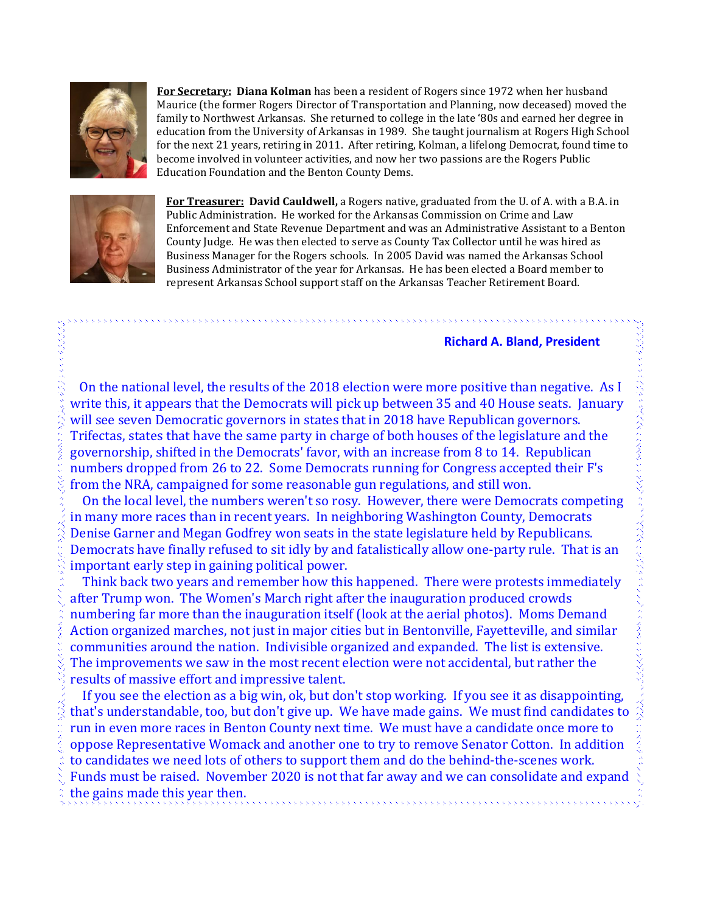

**For Secretary: Diana Kolman** has been a resident of Rogers since 1972 when her husband Maurice (the former Rogers Director of Transportation and Planning, now deceased) moved the family to Northwest Arkansas. She returned to college in the late '80s and earned her degree in education from the University of Arkansas in 1989. She taught journalism at Rogers High School for the next 21 years, retiring in 2011. After retiring, Kolman, a lifelong Democrat, found time to become involved in volunteer activities, and now her two passions are the Rogers Public Education Foundation and the Benton County Dems.



**For Treasurer: David Cauldwell,** a Rogers native, graduated from the U. of A. with a B.A. in Public Administration. He worked for the Arkansas Commission on Crime and Law Enforcement and State Revenue Department and was an Administrative Assistant to a Benton County Judge. He was then elected to serve as County Tax Collector until he was hired as Business Manager for the Rogers schools. In 2005 David was named the Arkansas School Business Administrator of the year for Arkansas. He has been elected a Board member to represent Arkansas School support staff on the Arkansas Teacher Retirement Board.

### **Richard A. Bland, President**

 On the national level, the results of the 2018 election were more positive than negative. As I write this, it appears that the Democrats will pick up between 35 and 40 House seats. January will see seven Democratic governors in states that in 2018 have Republican governors. Trifectas, states that have the same party in charge of both houses of the legislature and the governorship, shifted in the Democrats' favor, with an increase from 8 to 14. Republican numbers dropped from 26 to 22. Some Democrats running for Congress accepted their F's from the NRA, campaigned for some reasonable gun regulations, and still won.

 On the local level, the numbers weren't so rosy. However, there were Democrats competing in many more races than in recent years. In neighboring Washington County, Democrats Denise Garner and Megan Godfrey won seats in the state legislature held by Republicans. Democrats have finally refused to sit idly by and fatalistically allow one-party rule. That is an important early step in gaining political power.

 Think back two years and remember how this happened. There were protests immediately after Trump won. The Women's March right after the inauguration produced crowds numbering far more than the inauguration itself (look at the aerial photos). Moms Demand Action organized marches, not just in major cities but in Bentonville, Fayetteville, and similar communities around the nation. Indivisible organized and expanded. The list is extensive. The improvements we saw in the most recent election were not accidental, but rather the results of massive effort and impressive talent.

 If you see the election as a big win, ok, but don't stop working. If you see it as disappointing, that's understandable, too, but don't give up. We have made gains. We must find candidates to run in even more races in Benton County next time. We must have a candidate once more to oppose Representative Womack and another one to try to remove Senator Cotton. In addition to candidates we need lots of others to support them and do the behind-the-scenes work. Funds must be raised. November 2020 is not that far away and we can consolidate and expand the gains made this year then.,,,,,,,,,,,,,,,,,,,,,,,,,,,,,,,,,,,,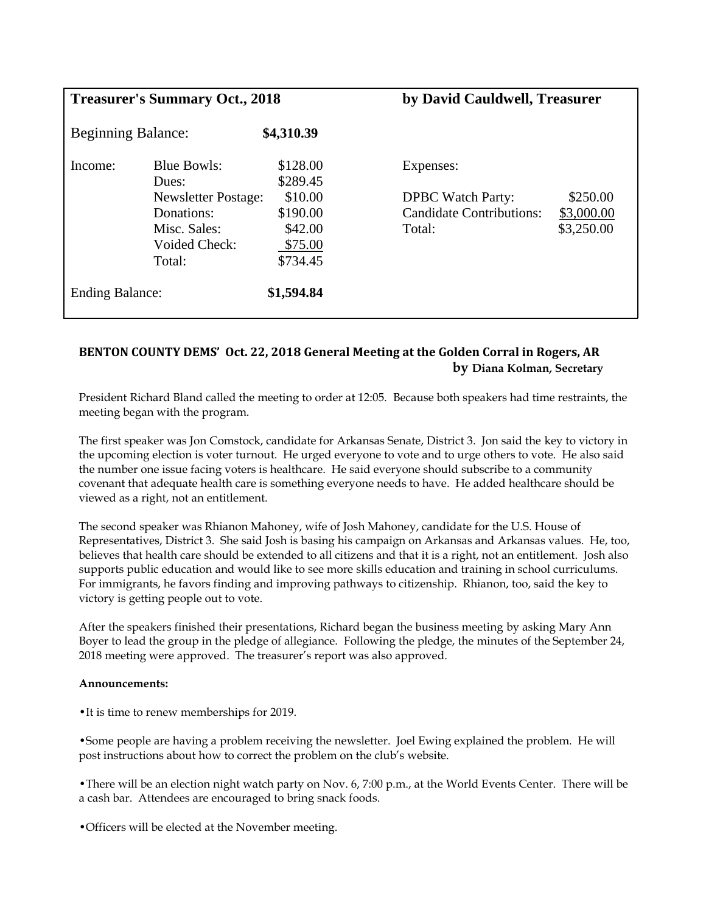| <b>Treasurer's Summary Oct., 2018</b> |                                                                                                                           | by David Cauldwell, Treasurer                                                 |                                                                                    |                                      |
|---------------------------------------|---------------------------------------------------------------------------------------------------------------------------|-------------------------------------------------------------------------------|------------------------------------------------------------------------------------|--------------------------------------|
| <b>Beginning Balance:</b>             |                                                                                                                           | \$4,310.39                                                                    |                                                                                    |                                      |
| Income:                               | <b>Blue Bowls:</b><br>Dues:<br><b>Newsletter Postage:</b><br>Donations:<br>Misc. Sales:<br><b>Voided Check:</b><br>Total: | \$128.00<br>\$289.45<br>\$10.00<br>\$190.00<br>\$42.00<br>\$75.00<br>\$734.45 | Expenses:<br><b>DPBC</b> Watch Party:<br><b>Candidate Contributions:</b><br>Total: | \$250.00<br>\$3,000.00<br>\$3,250.00 |
| <b>Ending Balance:</b>                |                                                                                                                           | \$1,594.84                                                                    |                                                                                    |                                      |

# **BENTON COUNTY DEMS' Oct. 22, 2018 General Meeting at the Golden Corral in Rogers, AR by Diana Kolman, Secretary**

President Richard Bland called the meeting to order at 12:05. Because both speakers had time restraints, the meeting began with the program.

The first speaker was Jon Comstock, candidate for Arkansas Senate, District 3. Jon said the key to victory in the upcoming election is voter turnout. He urged everyone to vote and to urge others to vote. He also said the number one issue facing voters is healthcare. He said everyone should subscribe to a community covenant that adequate health care is something everyone needs to have. He added healthcare should be viewed as a right, not an entitlement.

The second speaker was Rhianon Mahoney, wife of Josh Mahoney, candidate for the U.S. House of Representatives, District 3. She said Josh is basing his campaign on Arkansas and Arkansas values. He, too, believes that health care should be extended to all citizens and that it is a right, not an entitlement. Josh also supports public education and would like to see more skills education and training in school curriculums. For immigrants, he favors finding and improving pathways to citizenship. Rhianon, too, said the key to victory is getting people out to vote.

After the speakers finished their presentations, Richard began the business meeting by asking Mary Ann Boyer to lead the group in the pledge of allegiance. Following the pledge, the minutes of the September 24, 2018 meeting were approved. The treasurer's report was also approved.

### **Announcements:**

•It is time to renew memberships for 2019.

•Some people are having a problem receiving the newsletter. Joel Ewing explained the problem. He will post instructions about how to correct the problem on the club's website.

•There will be an election night watch party on Nov. 6, 7:00 p.m., at the World Events Center. There will be a cash bar. Attendees are encouraged to bring snack foods.

•Officers will be elected at the November meeting.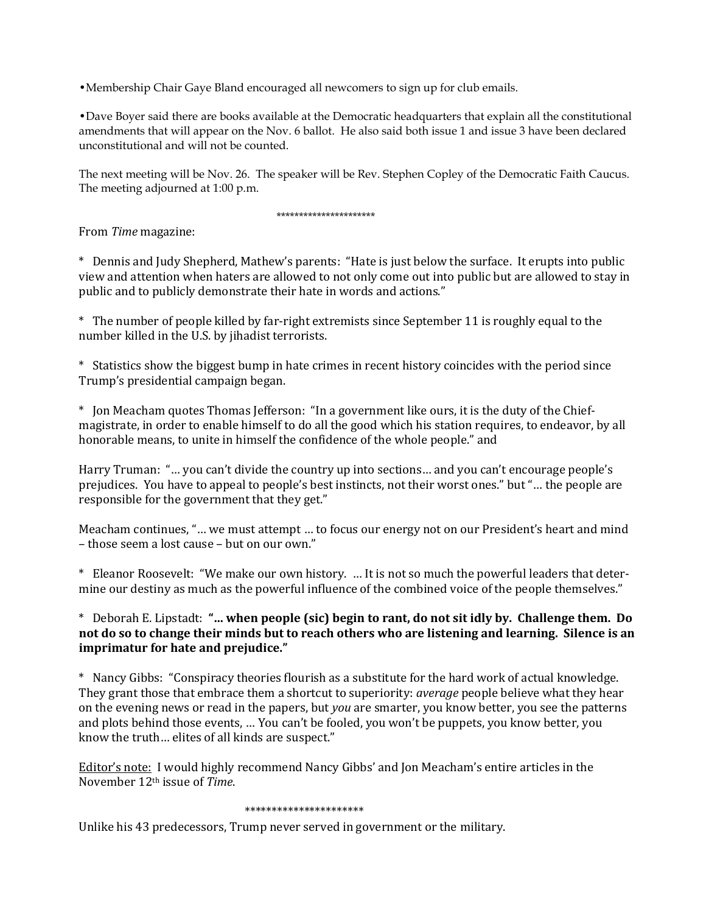•Membership Chair Gaye Bland encouraged all newcomers to sign up for club emails.

•Dave Boyer said there are books available at the Democratic headquarters that explain all the constitutional amendments that will appear on the Nov. 6 ballot. He also said both issue 1 and issue 3 have been declared unconstitutional and will not be counted.

The next meeting will be Nov. 26. The speaker will be Rev. Stephen Copley of the Democratic Faith Caucus. The meeting adjourned at 1:00 p.m.

#### \*\*\*\*\*\*\*\*\*\*\*\*\*\*\*\*\*\*\*\*\*\*

From *Time* magazine:

\* Dennis and Judy Shepherd, Mathew's parents: "Hate is just below the surface. It erupts into public view and attention when haters are allowed to not only come out into public but are allowed to stay in public and to publicly demonstrate their hate in words and actions."

\* The number of people killed by far-right extremists since September 11 is roughly equal to the number killed in the U.S. by jihadist terrorists.

\* Statistics show the biggest bump in hate crimes in recent history coincides with the period since Trump's presidential campaign began.

\* Jon Meacham quotes Thomas Jefferson: "In a government like ours, it is the duty of the Chiefmagistrate, in order to enable himself to do all the good which his station requires, to endeavor, by all honorable means, to unite in himself the confidence of the whole people." and

Harry Truman: "… you can't divide the country up into sections… and you can't encourage people's prejudices. You have to appeal to people's best instincts, not their worst ones." but "… the people are responsible for the government that they get."

Meacham continues, "… we must attempt … to focus our energy not on our President's heart and mind – those seem a lost cause – but on our own."

\* Eleanor Roosevelt: "We make our own history. … It is not so much the powerful leaders that determine our destiny as much as the powerful influence of the combined voice of the people themselves."

\* Deborah E. Lipstadt: **"… when people (sic) begin to rant, do not sit idly by. Challenge them. Do not do so to change their minds but to reach others who are listening and learning. Silence is an imprimatur for hate and prejudice."**

\* Nancy Gibbs: "Conspiracy theories flourish as a substitute for the hard work of actual knowledge. They grant those that embrace them a shortcut to superiority: *average* people believe what they hear on the evening news or read in the papers, but *you* are smarter, you know better, you see the patterns and plots behind those events, … You can't be fooled, you won't be puppets, you know better, you know the truth… elites of all kinds are suspect."

Editor's note: I would highly recommend Nancy Gibbs' and Jon Meacham's entire articles in the November 12th issue of *Time*.

### \*\*\*\*\*\*\*\*\*\*\*\*\*\*\*\*\*\*\*\*\*\*

Unlike his 43 predecessors, Trump never served in government or the military.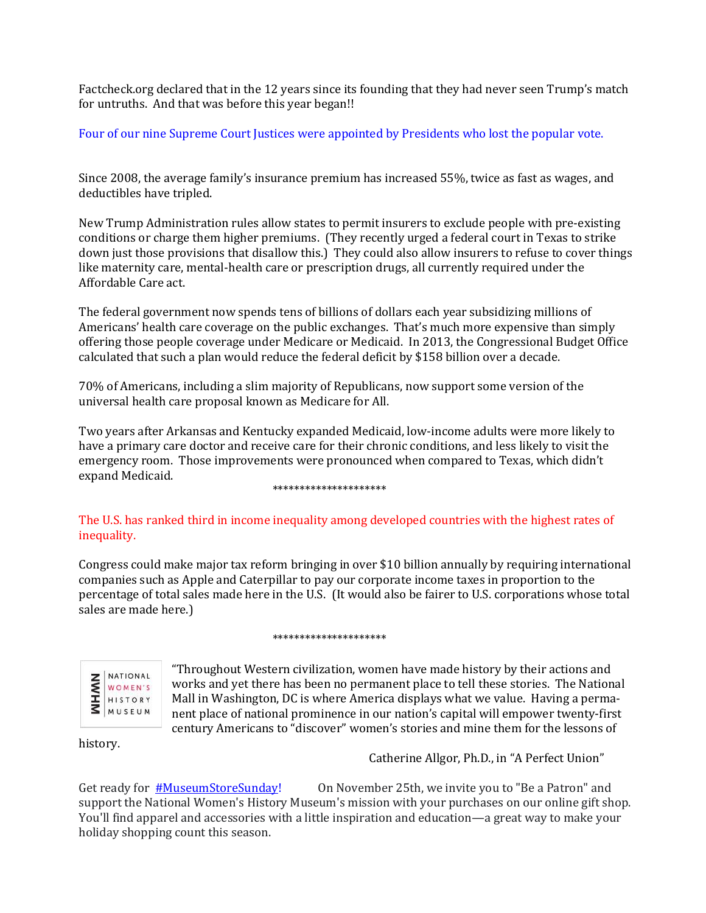Factcheck.org declared that in the 12 years since its founding that they had never seen Trump's match for untruths. And that was before this year began!!

Four of our nine Supreme Court Justices were appointed by Presidents who lost the popular vote.

Since 2008, the average family's insurance premium has increased 55%, twice as fast as wages, and deductibles have tripled.

New Trump Administration rules allow states to permit insurers to exclude people with pre-existing conditions or charge them higher premiums. (They recently urged a federal court in Texas to strike down just those provisions that disallow this.) They could also allow insurers to refuse to cover things like maternity care, mental-health care or prescription drugs, all currently required under the Affordable Care act.

The federal government now spends tens of billions of dollars each year subsidizing millions of Americans' health care coverage on the public exchanges. That's much more expensive than simply offering those people coverage under Medicare or Medicaid. In 2013, the Congressional Budget Office calculated that such a plan would reduce the federal deficit by \$158 billion over a decade.

70% of Americans, including a slim majority of Republicans, now support some version of the universal health care proposal known as Medicare for All.

Two years after Arkansas and Kentucky expanded Medicaid, low-income adults were more likely to have a primary care doctor and receive care for their chronic conditions, and less likely to visit the emergency room. Those improvements were pronounced when compared to Texas, which didn't expand Medicaid.

#### \*\*\*\*\*\*\*\*\*\*\*\*\*\*\*\*\*\*\*\*\*

## The U.S. has ranked third in income inequality among developed countries with the highest rates of inequality.

Congress could make major tax reform bringing in over \$10 billion annually by requiring international companies such as Apple and Caterpillar to pay our corporate income taxes in proportion to the percentage of total sales made here in the U.S. (It would also be fairer to U.S. corporations whose total sales are made here.)

### \*\*\*\*\*\*\*\*\*\*\*\*\*\*\*\*\*\*\*\*\*



"Throughout Western civilization, women have made history by their actions and works and yet there has been no permanent place to tell these stories. The National Mall in Washington, DC is where America displays what we value. Having a permanent place of national prominence in our nation's capital will empower twenty-first century Americans to "discover" women's stories and mine them for the lessons of

history.

Catherine Allgor, Ph.D., in "A Perfect Union"

Get ready for **[#MuseumStoreSunday!](https://www.facebook.com/hashtag/museumstoresunday)** On November 25th, we invite you to "Be a Patron" and support the National Women's History Museum's mission with your purchases on our online gift shop. You'll find apparel and accessories with a little inspiration and education—a great way to make your holiday shopping count this season.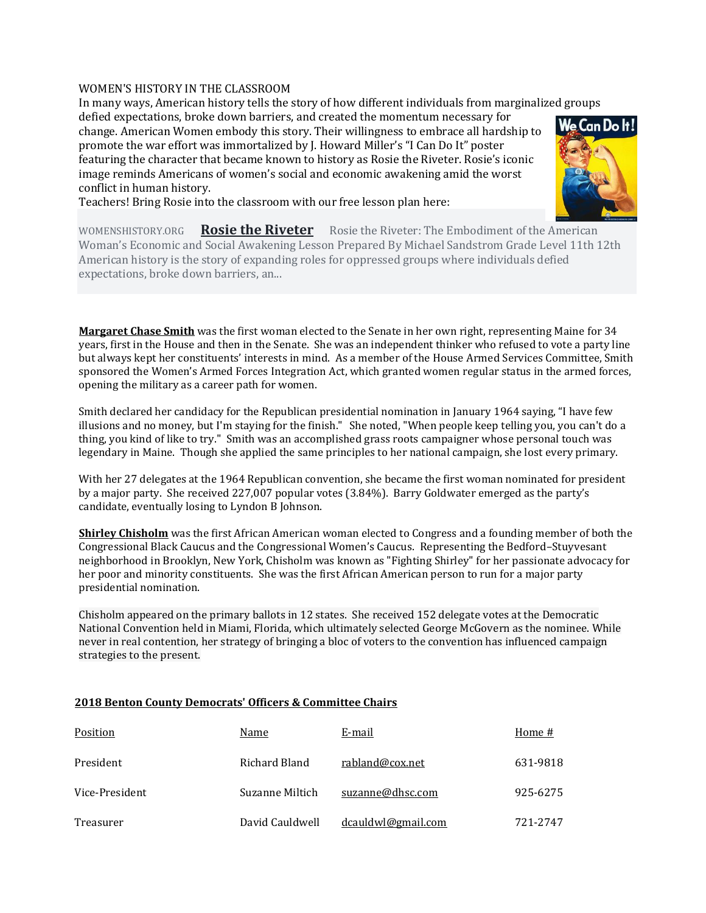### WOMEN'S HISTORY IN THE CLASSROOM

In many ways, American history tells the story of how different individuals from marginalized groups

defied expectations, broke down barriers, and created the momentum necessary for change. American Women embody this story. Their willingness to embrace all hardship to promote the war effort was immortalized by J. Howard Miller's "I Can Do It" poster featuring the character that became known to history as Rosie the Riveter. Rosie's iconic image reminds Americans of women's social and economic awakening amid the worst conflict in human history.



Teachers! Bring Rosie into the classroom with our free lesson plan here:

WOMENSHISTORY.ORG **[Rosie the Riveter](https://l.facebook.com/l.php?u=https%3A%2F%2Fbit.ly%2F2zFRVZ7%3Ffbclid%3DIwAR37ZJnHl1ASCu-sNIPyBPkoXiuk7x3kaXEfVLjmkkHd_RxFaC_Y4vpe_Hk&h=AT0kYGm9C0kOA620j-QOJ99mIXK_n5VNpijFUks1Y-Ad2-RhHofFTlfY6TnVYSvrNN3pudEqHLrr6RiJQUtPBd7GlvG7l9HcAfaLzxYscut-Jb_DLa2YN8FgJON6ZE__NTMDjfqtITdX48P90bpSbBRXjWreFYCOfgrPkzl-ezSZ-g2Oq69k7dyDWE1rV7HnWkHHCIwXr1bvnxozjLxaKuXznMn8eRf79AmY3_ThcbQ-4NCmKTuP8aj6NKIqJQwrpxntO_sXRphCgcQ4igwTy1bqZWrcElKUZCJyhkMu-Feqq_zkYPJtprvcXIF3M_k8x1U8CADEh2OKb840X1o3s9wJl7iYjBDdqYHLSEYZIQE3zYZESNdOxLCfnj3IBF5rdhm_R3mmQzyydrYfHgcuFEEH0ooNlIAEdIGU3RAYjGLUQ6rjlyVYlQERKeB5nUJR-ecIDHBYvw7p_yhm_hIp1KNHuxrxfqgaWlf44D_efq2sv7-9ZjZDv-osBmNeauOeMnabVaxAmCj9rlofGyBla3jlyTH5nkz9xytbqoMAGuWBkW5WS7Qk4fGRbw5-fr5HXNlD75FQLrHfRUWHgvuLoBJtmUDkPZdTRJpLOOaXwi-iCEnjEQslJA)** Rosie the Riveter: The Embodiment of the American Woman's Economic and Social Awakening Lesson Prepared By Michael Sandstrom Grade Level 11th 12th American history is the story of expanding roles for oppressed groups where individuals defied expectations, broke down barriers, an...

**Margaret Chase Smith** was the first woman elected to the Senate in her own right, representing Maine for 34 years, first in the House and then in the Senate. She was an independent thinker who refused to vote a party line but always kept her constituents' interests in mind. As a member of the House Armed Services Committee, Smith sponsored the Women's Armed Forces Integration Act, which granted women regular status in the armed forces, opening the military as a career path for women.

Smith declared her candidacy for the Republican presidential nomination in January 1964 saying, "I have few illusions and no money, but I'm staying for the finish." She noted, "When people keep telling you, you can't do a thing, you kind of like to try." Smith was an accomplished grass roots campaigner whose personal touch was legendary in Maine. Though she applied the same principles to her national campaign, she lost every primary.

With her 27 delegates at the 1964 Republican convention, she became the first woman nominated for president by a major party. She received 227,007 popular votes (3.84%). Barry Goldwater emerged as the party's candidate, eventually losing to Lyndon B Johnson.

**Shirley Chisholm** was the first African American woman elected to Congress and a founding member of both the Congressional Black Caucus and the Congressional Women's Caucus. Representing the Bedford–Stuyvesant neighborhood in Brooklyn, New York, Chisholm was known as "Fighting Shirley" for her passionate advocacy for her poor and minority constituents. She was the first African American person to run for a major party presidential nomination.

Chisholm appeared on the primary ballots in 12 states. She received 152 delegate votes at the Democratic National Convention held in Miami, Florida, which ultimately selected George McGovern as the nominee. While never in real contention, her strategy of bringing a bloc of voters to the convention has influenced campaign strategies to the present.

| Position       | Name            | E-mail             | Home #   |
|----------------|-----------------|--------------------|----------|
| President      | Richard Bland   | rabland@cox.net    | 631-9818 |
| Vice-President | Suzanne Miltich | suzanne@dhsc.com   | 925-6275 |
| Treasurer      | David Cauldwell | dcauldwl@gmail.com | 721-2747 |

## **2018 Benton County Democrats' Officers & Committee Chairs**